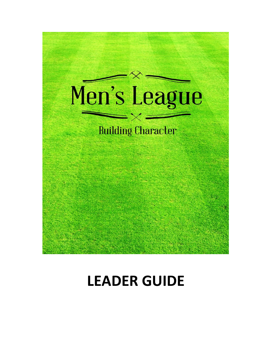

# **LEADER GUIDE**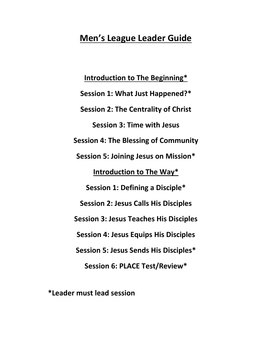# **Men's League Leader Guide**

**Introduction to The Beginning\* Session 1: What Just Happened?\* Session 2: The Centrality of Christ Session 3: Time with Jesus Session 4: The Blessing of Community Session 5: Joining Jesus on Mission\* Introduction to The Way\* Session 1: Defining a Disciple\* Session 2: Jesus Calls His Disciples Session 3: Jesus Teaches His Disciples Session 4: Jesus Equips His Disciples Session 5: Jesus Sends His Disciples\* Session 6: PLACE Test/Review\***

**\*Leader must lead session**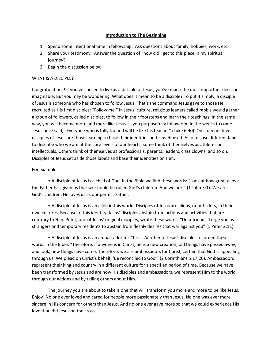# **Introduction to The Beginning**

- 1. Spend some intentional time in fellowship. Ask questions about family, hobbies, work, etc.
- 2. Share your testimony. Answer the question of "how did I get to this place in my spiritual journey?"
- 3. Begin the discussion below.

# WHAT IS A DISCIPLE?

Congratulations! If you've chosen to live as a disciple of Jesus, you've made the most important decision imaginable. But you may be wondering, What does it mean to be a disciple? To put it simply, a disciple of Jesus is someone who has chosen to follow Jesus. That's the command Jesus gave to those He recruited as His first disciples: "Follow me." In Jesus' culture, religious leaders called rabbis would gather a group of followers, called disciples, to follow in their footsteps and learn their teachings. In the same way, you will become more and more like Jesus as you purposefully follow Him in the weeks to come. Jesus once said, "Everyone who is fully trained will be like his teacher" (Luke 6:40). On a deeper level, disciples of Jesus are those learning to base their identities on Jesus Himself. All of us use different labels to describe who we are at the core levels of our hearts. Some think of themselves as athletes or intellectuals. Others think of themselves as professionals, parents, leaders, class clowns, and so on. Disciples of Jesus set aside those labels and base their identities on Him.

# For example:

• A disciple of Jesus is a child of God. In the Bible we find these words: "Look at how great a love the Father has given us that we should be called God's children. And we are!" (1 John 3:1). We are God's children. He loves us as our perfect Father.

• A disciple of Jesus is an alien in this world. Disciples of Jesus are aliens, or outsiders, in their own cultures. Because of this identity, Jesus' disciples abstain from actions and activities that are contrary to Him. Peter, one of Jesus' original disciples, wrote these words: "Dear friends, I urge you as strangers and temporary residents to abstain from fleshly desires that war against you" (1 Peter 2:11).

• A disciple of Jesus is an ambassador for Christ. Another of Jesus' disciples recorded these words in the Bible: "Therefore, if anyone is in Christ, he is a new creation; old things have passed away, and look, new things have come. Therefore, we are ambassadors for Christ, certain that God is appealing through us. We plead on Christ's behalf, 'Be reconciled to God'" (2 Corinthians 5:17,20). Ambassadors represent their king and country in a different culture for a specified period of time. Because we have been transformed by Jesus and are now His disciples and ambassadors, we represent Him to the world through our actions and by telling others about Him.

The journey you are about to take is one that will transform you more and more to be like Jesus. Enjoy! No one ever loved and cared for people more passionately than Jesus. No one was ever more sincere in His concern for others than Jesus. And no one ever gave more so that we could experience His love than did Jesus on the cross.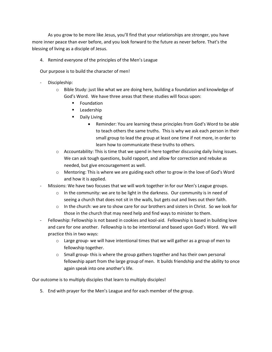As you grow to be more like Jesus, you'll find that your relationships are stronger, you have more inner peace than ever before, and you look forward to the future as never before. That's the blessing of living as a disciple of Jesus.

- 4. Remind everyone of the principles of the Men's League
- Our purpose is to build the character of men!
- Discipleship:
	- $\circ$  Bible Study: just like what we are doing here, building a foundation and knowledge of God's Word. We have three areas that these studies will focus upon:
		- Foundation
		- **Leadership**
		- Daily Living
			- Reminder: You are learning these principles from God's Word to be able to teach others the same truths. This is why we ask each person in their small group to lead the group at least one time if not more, in order to learn how to communicate these truths to others.
	- $\circ$  Accountability: This is time that we spend in here together discussing daily living issues. We can ask tough questions, build rapport, and allow for correction and rebuke as needed, but give encouragement as well.
	- $\circ$  Mentoring: This is where we are guiding each other to grow in the love of God's Word and how it is applied.
- Missions: We have two focuses that we will work together in for our Men's League groups.
	- $\circ$  In the community: we are to be light in the darkness. Our community is in need of seeing a church that does not sit in the walls, but gets out and lives out their faith.
	- $\circ$  In the church: we are to show care for our brothers and sisters in Christ. So we look for those in the church that may need help and find ways to minister to them.
- Fellowship: Fellowship is not based in cookies and kool-aid. Fellowship is based in building love and care for one another. Fellowship is to be intentional and based upon God's Word. We will practice this in two ways:
	- $\circ$  Large group- we will have intentional times that we will gather as a group of men to fellowship together.
	- $\circ$  Small group- this is where the group gathers together and has their own personal fellowship apart from the large group of men. It builds friendship and the ability to once again speak into one another's life.

Our outcome is to multiply disciples that learn to multiply disciples!

5. End with prayer for the Men's League and for each member of the group.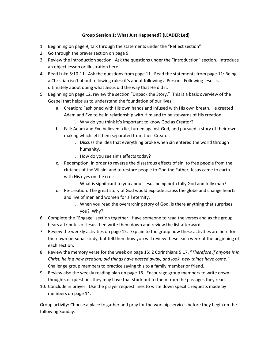#### **Group Session 1: What Just Happened? (LEADER Led)**

- 1. Beginning on page 9, talk through the statements under the "Reflect section"
- 2. Go through the prayer section on page 9.
- 3. Review the Introduction section. Ask the questions under the "Introduction" section. Introduce an object lesson or illustration here.
- 4. Read Luke 5:10-11. Ask the questions from page 11. Read the statements from page 11: Being a Christian isn't about following rules; it's about following a Person. Following Jesus is ultimately about doing what Jesus did the way that He did it.
- 5. Beginning on page 12, review the section "Unpack the Story." This is a basic overview of the Gospel that helps us to understand the foundation of our lives.
	- a. Creation: Fashioned with His own hands and infused with His own breath, He created Adam and Eve to be in relationship with Him and to be stewards of His creation.
		- i. Why do you think it's important to know God as Creator?
	- b. Fall: Adam and Eve believed a lie, turned against God, and pursued a story of their own making which left them separated from their Creator.
		- i. Discuss the idea that everything broke when sin entered the world through humanity.
		- ii. How do you see sin's effects today?
	- c. Redemption: In order to reverse the disastrous effects of sin, to free people from the clutches of the Villain, and to restore people to God the Father, Jesus came to earth with His eyes on the cross.
		- i. What is significant to you about Jesus being both fully God and fully man?
	- d. Re-creation: The great story of God would explode across the globe and change hearts and live of men and women for all eternity.
		- i. When you read the overarching story of God, is there anything that surprises you? Why?
- 6. Complete the "Engage" section together. Have someone to read the verses and as the group hears attributes of Jesus then write them down and review the list afterwards.
- 7. Review the weekly activities on page 15. Explain to the group how these activities are here for their own personal study, but tell them how you will review these each week at the beginning of each section.
- 8. Review the memory verse for the week on page 15: 2 Corinthians 5:17, "*Therefore if anyone is in Christ, he is a new creation; old things have passed away, and look, new things have come*." Challenge group members to practice saying this to a family member or friend.
- 9. Review also the weekly reading plan on page 16. Encourage group members to write down thoughts or questions they may have that stuck out to them from the passages they read.
- 10. Conclude in prayer. Use the prayer request lines to write down specific requests made by members on page 14.

Group activity: Choose a place to gather and pray for the worship services before they begin on the following Sunday.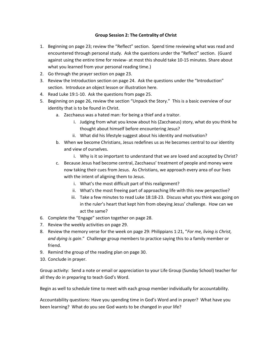# **Group Session 2: The Centrality of Christ**

- 1. Beginning on page 23; review the "Reflect" section. Spend time reviewing what was read and encountered through personal study. Ask the questions under the "Reflect" section. (Guard against using the entire time for review- at most this should take 10-15 minutes. Share about what you learned from your personal reading time.)
- 2. Go through the prayer section on page 23.
- 3. Review the Introduction section on page 24. Ask the questions under the "Introduction" section. Introduce an object lesson or illustration here.
- 4. Read Luke 19:1-10. Ask the questions from page 25.
- 5. Beginning on page 26, review the section "Unpack the Story." This is a basic overview of our identity that is to be found in Christ.
	- a. Zacchaeus was a hated man: for being a thief and a traitor.
		- i. Judging from what you know about his (Zacchaeus) story, what do you think he thought about himself before encountering Jesus?
		- ii. What did his lifestyle suggest about his identity and motivation?
	- b. When we become Christians, Jesus redefines us as He becomes central to our identity and view of ourselves.
		- i. Why is it so important to understand that we are loved and accepted by Christ?
	- c. Because Jesus had become central, Zacchaeus' treatment of people and money were now taking their cues from Jesus. As Christians, we approach every area of our lives with the intent of aligning them to Jesus.
		- i. What's the most difficult part of this realignment?
		- ii. What's the most freeing part of approaching life with this new perspective?
		- iii. Take a few minutes to read Luke 18:18-23. Discuss what you think was going on in the ruler's heart that kept him from obeying Jesus' challenge. How can we act the same?
- 6. Complete the "Engage" section together on page 28.
- 7. Review the weekly activities on page 29.
- 8. Review the memory verse for the week on page 29: Philippians 1:21, "*For me, living is Christ, and dying is gain*." Challenge group members to practice saying this to a family member or friend.
- 9. Remind the group of the reading plan on page 30.
- 10. Conclude in prayer.

Group activity: Send a note or email or appreciation to your Life Group (Sunday School) teacher for all they do in preparing to teach God's Word.

Begin as well to schedule time to meet with each group member individually for accountability.

Accountability questions: Have you spending time in God's Word and in prayer? What have you been learning? What do you see God wants to be changed in your life?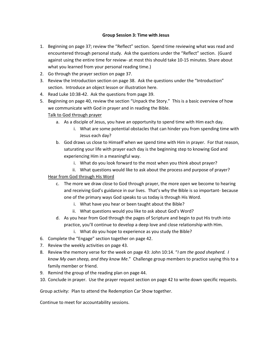#### **Group Session 3: Time with Jesus**

- 1. Beginning on page 37; review the "Reflect" section. Spend time reviewing what was read and encountered through personal study. Ask the questions under the "Reflect" section. (Guard against using the entire time for review- at most this should take 10-15 minutes. Share about what you learned from your personal reading time.)
- 2. Go through the prayer section on page 37.
- 3. Review the Introduction section on page 38. Ask the questions under the "Introduction" section. Introduce an object lesson or illustration here.
- 4. Read Luke 10:38-42. Ask the questions from page 39.
- 5. Beginning on page 40, review the section "Unpack the Story." This is a basic overview of how we communicate with God in prayer and in reading the Bible.

# Talk to God through prayer

- a. As a disciple of Jesus, you have an opportunity to spend time with Him each day.
	- i. What are some potential obstacles that can hinder you from spending time with Jesus each day?
- b. God draws us close to Himself when we spend time with Him in prayer. For that reason, saturating your life with prayer each day is the beginning step to knowing God and experiencing Him in a meaningful way.
	- i. What do you look forward to the most when you think about prayer?
	- ii. What questions would like to ask about the process and purpose of prayer?

# Hear from God through His Word

- c. The more we draw close to God through prayer, the more open we become to hearing and receiving God's guidance in our lives. That's why the Bible is so important- because one of the primary ways God speaks to us today is through His Word.
	- i. What have you hear or been taught about the Bible?
	- ii. What questions would you like to ask about God's Word?
- d. As you hear from God through the pages of Scripture and begin to put His truth into practice, you'll continue to develop a deep love and close relationship with Him.
	- i. What do you hope to experience as you study the Bible?
- 6. Complete the "Engage" section together on page 42.
- 7. Review the weekly activities on page 43.
- 8. Review the memory verse for the week on page 43: John 10:14. "*I am the good shepherd. I know My own sheep, and they know Me*." Challenge group members to practice saying this to a family member or friend.
- 9. Remind the group of the reading plan on page 44.
- 10. Conclude in prayer. Use the prayer request section on page 42 to write down specific requests.

Group activity: Plan to attend the Redemption Car Show together.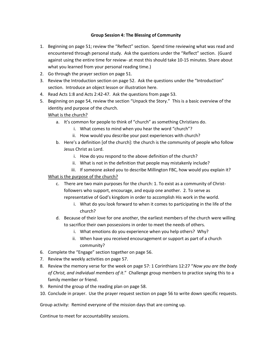#### **Group Session 4: The Blessing of Community**

- 1. Beginning on page 51; review the "Reflect" section. Spend time reviewing what was read and encountered through personal study. Ask the questions under the "Reflect" section. (Guard against using the entire time for review- at most this should take 10-15 minutes. Share about what you learned from your personal reading time.)
- 2. Go through the prayer section on page 51.
- 3. Review the Introduction section on page 52. Ask the questions under the "Introduction" section. Introduce an object lesson or illustration here.
- 4. Read Acts 1:8 and Acts 2:42-47. Ask the questions from page 53.
- 5. Beginning on page 54, review the section "Unpack the Story." This is a basic overview of the identity and purpose of the church.

# What is the church?

- a. It's common for people to think of "church" as something Christians do.
	- i. What comes to mind when you hear the word "church"?
	- ii. How would you describe your past experiences with church?
- b. Here's a definition [of the church]: the church is the community of people who follow Jesus Christ as Lord.
	- i. How do you respond to the above definition of the church?
	- ii. What is not in the definition that people may mistakenly include?
	- iii. If someone asked you to describe Millington FBC, how would you explain it?

#### What is the purpose of the church?

- c. There are two main purposes for the church: 1. To exist as a community of Christfollowers who support, encourage, and equip one another. 2. To serve as representative of God's kingdom in order to accomplish His work in the world.
	- i. What do you look forward to when it comes to participating in the life of the church?
- d. Because of their love for one another, the earliest members of the church were willing to sacrifice their own possessions in order to meet the needs of others.
	- i. What emotions do you experience when you help others? Why?
	- ii. When have you received encouragement or support as part of a church community?
- 6. Complete the "Engage" section together on page 56.
- 7. Review the weekly activities on page 57.
- 8. Review the memory verse for the week on page 57: 1 Corinthians 12:27 "*Now you are the body of Christ, and individual members of it*." Challenge group members to practice saying this to a family member or friend.
- 9. Remind the group of the reading plan on page 58.
- 10. Conclude in prayer. Use the prayer request section on page 56 to write down specific requests.

Group activity: Remind everyone of the mission days that are coming up.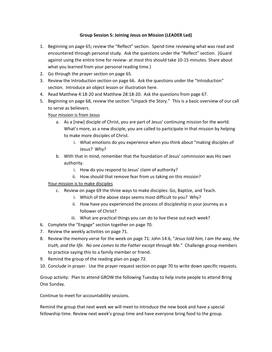# **Group Session 5: Joining Jesus on Mission (LEADER Led)**

- 1. Beginning on page 65; review the "Reflect" section. Spend time reviewing what was read and encountered through personal study. Ask the questions under the "Reflect" section. (Guard against using the entire time for review- at most this should take 10-15 minutes. Share about what you learned from your personal reading time.)
- 2. Go through the prayer section on page 65.
- 3. Review the Introduction section on page 66. Ask the questions under the "Introduction" section. Introduce an object lesson or illustration here.
- 4. Read Matthew 4:18-20 and Matthew 28:18-20. Ask the questions from page 67.
- 5. Beginning on page 68, review the section "Unpack the Story." This is a basic overview of our call to serve as believers.

# Your mission is from Jesus

- a. As a [new] disciple of Christ, you are part of Jesus' continuing mission for the world. What's more, as a new disciple, you are called to participate in that mission by helping to make more disciples of Christ.
	- i. What emotions do you experience when you think about "making disciples of Jesus? Why?
- b. With that in mind, remember that the foundation of Jesus' commission was His own authority.
	- i. How do you respond to Jesus' claim of authority?
	- ii. How should that remove fear from us taking on this mission?

# Your mission is to make disciples

- c. Review on page 69 the three ways to make disciples: Go, Baptize, and Teach.
	- i. Which of the above steps seems most difficult to you? Why?
	- ii. How have you experienced the process of discipleship in your journey as a follower of Christ?
	- iii. What are practical things you can do to live these out each week?
- 6. Complete the "Engage" section together on page 70.
- 7. Review the weekly activities on page 71.
- 8. Review the memory verse for the week on page 71: John 14:6, "*Jesus told him, I am the way, the truth, and the life. No one comes to the Father except through Me.*" Challenge group members to practice saying this to a family member or friend.
- 9. Remind the group of the reading plan on page 72.
- 10. Conclude in prayer. Use the prayer request section on page 70 to write down specific requests.

Group activity: Plan to attend GROW the following Tuesday to help invite people to attend Bring One Sunday.

Continue to meet for accountability sessions.

Remind the group that next week we will meet to introduce the new book and have a special fellowship time. Review next week's group time and have everyone bring food to the group.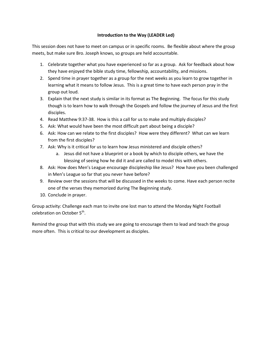# **Introduction to the Way (LEADER Led)**

This session does not have to meet on campus or in specific rooms. Be flexible about where the group meets, but make sure Bro. Joseph knows, so groups are held accountable.

- 1. Celebrate together what you have experienced so far as a group. Ask for feedback about how they have enjoyed the bible study time, fellowship, accountability, and missions.
- 2. Spend time in prayer together as a group for the next weeks as you learn to grow together in learning what it means to follow Jesus. This is a great time to have each person pray in the group out loud.
- 3. Explain that the next study is similar in its format as The Beginning. The focus for this study though is to learn how to walk through the Gospels and follow the journey of Jesus and the first disciples.
- 4. Read Matthew 9:37-38. How is this a call for us to make and multiply disciples?
- 5. Ask: What would have been the most difficult part about being a disciple?
- 6. Ask: How can we relate to the first disciples? How were they different? What can we learn from the first disciples?
- 7. Ask: Why is it critical for us to learn how Jesus ministered and disciple others?
	- a. Jesus did not have a blueprint or a book by which to disciple others, we have the blessing of seeing how he did it and are called to model this with others.
- 8. Ask: How does Men's League encourage discipleship like Jesus? How have you been challenged in Men's League so far that you never have before?
- 9. Review over the sessions that will be discussed in the weeks to come. Have each person recite one of the verses they memorized during The Beginning study.
- 10. Conclude in prayer.

Group activity: Challenge each man to invite one lost man to attend the Monday Night Football celebration on October 5<sup>th</sup>.

Remind the group that with this study we are going to encourage them to lead and teach the group more often. This is critical to our development as disciples.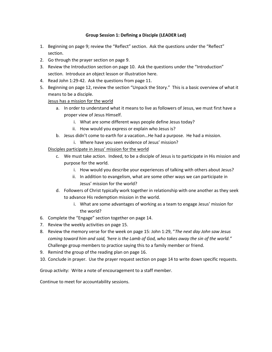# **Group Session 1: Defining a Disciple (LEADER Led)**

- 1. Beginning on page 9; review the "Reflect" section. Ask the questions under the "Reflect" section.
- 2. Go through the prayer section on page 9.
- 3. Review the Introduction section on page 10. Ask the questions under the "Introduction" section. Introduce an object lesson or illustration here.
- 4. Read John 1:29-42. Ask the questions from page 11.
- 5. Beginning on page 12, review the section "Unpack the Story." This is a basic overview of what it means to be a disciple.

# Jesus has a mission for the world

- a. In order to understand what it means to live as followers of Jesus, we must first have a proper view of Jesus Himself.
	- i. What are some different ways people define Jesus today?
	- ii. How would you express or explain who Jesus is?
- b. Jesus didn't come to earth for a vacation…He had a purpose. He had a mission.
	- i. Where have you seen evidence of Jesus' mission?

#### Disciples participate in Jesus' mission for the world

- c. We must take action. Indeed, to be a disciple of Jesus is to participate in His mission and purpose for the world.
	- i. How would you describe your experiences of talking with others about Jesus?
	- ii. In addition to evangelism, what are some other ways we can participate in Jesus' mission for the world?
- d. Followers of Christ typically work together in relationship with one another as they seek to advance His redemption mission in the world.
	- i. What are some advantages of working as a team to engage Jesus' mission for the world?
- 6. Complete the "Engage" section together on page 14.
- 7. Review the weekly activities on page 15.
- 8. Review the memory verse for the week on page 15: John 1:29, "*The next day John saw Jesus coming toward him and said, 'here is the Lamb of God, who takes away the sin of the world."* Challenge group members to practice saying this to a family member or friend.
- 9. Remind the group of the reading plan on page 16.
- 10. Conclude in prayer. Use the prayer request section on page 14 to write down specific requests.

Group activity: Write a note of encouragement to a staff member.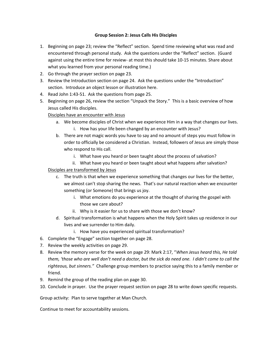#### **Group Session 2: Jesus Calls His Disciples**

- 1. Beginning on page 23; review the "Reflect" section. Spend time reviewing what was read and encountered through personal study. Ask the questions under the "Reflect" section. (Guard against using the entire time for review- at most this should take 10-15 minutes. Share about what you learned from your personal reading time.)
- 2. Go through the prayer section on page 23.
- 3. Review the Introduction section on page 24. Ask the questions under the "Introduction" section. Introduce an object lesson or illustration here.
- 4. Read John 1:43-51. Ask the questions from page 25.
- 5. Beginning on page 26, review the section "Unpack the Story." This is a basic overview of how Jesus called His disciples.

Disciples have an encounter with Jesus

- a. We become disciples of Christ when we experience Him in a way that changes our lives.
	- i. How has your life been changed by an encounter with Jesus?
- b. There are not magic words you have to say and no amount of steps you must follow in order to officially be considered a Christian. Instead, followers of Jesus are simply those who respond to His call.
	- i. What have you heard or been taught about the process of salvation?
	- ii. What have you heard or been taught about what happens after salvation?

# Disciples are transformed by Jesus

- c. The truth is that when we experience something that changes our lives for the better, we almost can't stop sharing the news. That's our natural reaction when we encounter something (or Someone) that brings us joy.
	- i. What emotions do you experience at the thought of sharing the gospel with those we care about?
	- ii. Why is it easier for us to share with those we don't know?
- d. Spiritual transformation is what happens when the Holy Spirit takes up residence in our lives and we surrender to Him daily.
	- i. How have you experienced spiritual transformation?
- 6. Complete the "Engage" section together on page 28.
- 7. Review the weekly activities on page 29.
- 8. Review the memory verse for the week on page 29: Mark 2:17, "*When Jesus heard this, He told them, 'those who are well don't need a doctor, but the sick do need one. I didn't come to call the righteous, but sinners."* Challenge group members to practice saying this to a family member or friend.
- 9. Remind the group of the reading plan on page 30.
- 10. Conclude in prayer. Use the prayer request section on page 28 to write down specific requests.

Group activity: Plan to serve together at Man Church.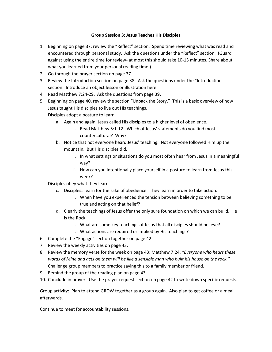#### **Group Session 3: Jesus Teaches His Disciples**

- 1. Beginning on page 37; review the "Reflect" section. Spend time reviewing what was read and encountered through personal study. Ask the questions under the "Reflect" section. (Guard against using the entire time for review- at most this should take 10-15 minutes. Share about what you learned from your personal reading time.)
- 2. Go through the prayer section on page 37.
- 3. Review the Introduction section on page 38. Ask the questions under the "Introduction" section. Introduce an object lesson or illustration here.
- 4. Read Matthew 7:24-29. Ask the questions from page 39.
- 5. Beginning on page 40, review the section "Unpack the Story." This is a basic overview of how Jesus taught His disciples to live out His teachings.

# Disciples adopt a posture to learn

- a. Again and again, Jesus called His disciples to a higher level of obedience.
	- i. Read Matthew 5:1-12. Which of Jesus' statements do you find most countercultural? Why?
- b. Notice that not everyone heard Jesus' teaching. Not everyone followed Him up the mountain. But His disciples did.
	- i. In what settings or situations do you most often hear from Jesus in a meaningful way?
	- ii. How can you intentionally place yourself in a posture to learn from Jesus this week?

# Disciples obey what they learn

- c. Disciples…learn for the sake of obedience. They learn in order to take action.
	- i. When have you experienced the tension between believing something to be true and acting on that belief?
- d. Clearly the teachings of Jesus offer the only sure foundation on which we can build. He is the Rock.
	- i. What are some key teachings of Jesus that all disciples should believe?
	- ii. What actions are required or implied by His teachings?
- 6. Complete the "Engage" section together on page 42.
- 7. Review the weekly activities on page 43.
- 8. Review the memory verse for the week on page 43: Matthew 7:24, *"Everyone who hears these words of Mine and acts on them will be like a sensible man who built his house on the rock."* Challenge group members to practice saying this to a family member or friend.
- 9. Remind the group of the reading plan on page 43.
- 10. Conclude in prayer. Use the prayer request section on page 42 to write down specific requests.

Group activity: Plan to attend GROW together as a group again. Also plan to get coffee or a meal afterwards.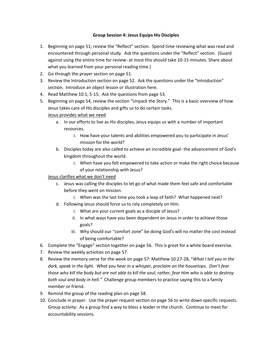#### **Group Session 4: Jesus Equips His Disciples**

- 1. Beginning on page 51; review the "Reflect" section. Spend time reviewing what was read and encountered through personal study. Ask the questions under the "Reflect" section. (Guard against using the entire time for review- at most this should take 10-15 minutes. Share about what you learned from your personal reading time.)
- 2. Go through the prayer section on page 51.
- 3. Review the Introduction section on page 52. Ask the questions under the "Introduction" section. Introduce an object lesson or illustration here.
- 4. Read Matthew 10:1, 5-15. Ask the questions from page 53.
- 5. Beginning on page 54, review the section "Unpack the Story." This is a basic overview of how Jesus takes care of His disciples and gifts us to do certain tasks.

Jesus provides what we need

- a. In our efforts to live as His disciples, Jesus equips us with a number of important resources.
	- i. How have your talents and abilities empowered you to participate in Jesus' mission for the world?
- b. Disciples today are also called to achieve an incredible goal- the advancement of God's kingdom throughout the world.
	- i. When have you felt empowered to take action or make the right choice because of your relationship with Jesus?

# Jesus clarifies what we don't need

- c. Jesus was calling the disciples to let go of what made them feel safe and comfortable before they went on mission.
	- i. When was the last time you took a leap of faith? What happened next?
- d. Following Jesus should force us to rely completely on Him.
	- i. What are your current goals as a disciple of Jesus?
	- ii. In what ways have you been dependent on Jesus in order to achieve those goals?
	- iii. Why should our "comfort zone" be doing God's will no matter the cost instead of being comfortable?
- 6. Complete the "Engage" section together on page 56. This is great for a white board exercise.
- 7. Review the weekly activities on page 57.
- 8. Review the memory verse for the week on page 57: Matthew 10:27-28, "*What I tell you in the dark, speak in the light. What you hear in a whisper, proclaim on the housetops. Don't fear those who kill the body but are not able to kill the soul; rather, fear Him who is able to destroy both soul and body in hell."* Challenge group members to practice saying this to a family member or friend.
- 9. Remind the group of the reading plan on page 58.
- 10. Conclude in prayer. Use the prayer request section on page 56 to write down specific requests. Group activity: As a group find a way to bless a leader in the church. Continue to meet for accountability sessions.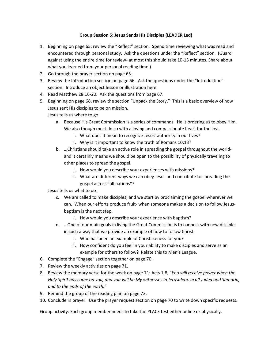# **Group Session 5: Jesus Sends His Disciples (LEADER Led)**

- 1. Beginning on page 65; review the "Reflect" section. Spend time reviewing what was read and encountered through personal study. Ask the questions under the "Reflect" section. (Guard against using the entire time for review- at most this should take 10-15 minutes. Share about what you learned from your personal reading time.)
- 2. Go through the prayer section on page 65.
- 3. Review the Introduction section on page 66. Ask the questions under the "Introduction" section. Introduce an object lesson or illustration here.
- 4. Read Matthew 28:16-20. Ask the questions from page 67.
- 5. Beginning on page 68, review the section "Unpack the Story." This is a basic overview of how Jesus sent His disciples to be on mission.

# Jesus tells us where to go

- a. Because His Great Commission is a series of commands. He is ordering us to obey Him. We also though must do so with a loving and compassionate heart for the lost.
	- i. What does it mean to recognize Jesus' authority in our lives?
	- ii. Why is it important to know the truth of Romans 10:13?
- b. …Christians should take an active role in spreading the gospel throughout the worldand it certainly means we should be open to the possibility of physically traveling to other places to spread the gospel.
	- i. How would you describe your experiences with missions?
	- ii. What are different ways we can obey Jesus and contribute to spreading the gospel across "all nations"?

# Jesus tells us what to do

- c. We are called to make disciples, and we start by proclaiming the gospel wherever we can. When our efforts produce fruit- when someone makes a decision to follow Jesusbaptism is the next step.
	- i. How would you describe your experience with baptism?
- d. …One of our main goals in living the Great Commission is to connect with new disciples in such a way that we provide an example of how to follow Christ.
	- i. Who has been an example of Christlikeness for you?
	- ii. How confident do you feel in your ability to make disciples and serve as an example for others to follow? Relate this to Men's League.
- 6. Complete the "Engage" section together on page 70.
- 7. Review the weekly activities on page 71.
- 8. Review the memory verse for the week on page 71: Acts 1:8, "*You will receive power when the Holy Spirit has come on you, and you will be My witnesses in Jerusalem, in all Judea and Samaria, and to the ends of the earth."*
- 9. Remind the group of the reading plan on page 72.
- 10. Conclude in prayer. Use the prayer request section on page 70 to write down specific requests.

Group activity: Each group member needs to take the PLACE test either online or physically.